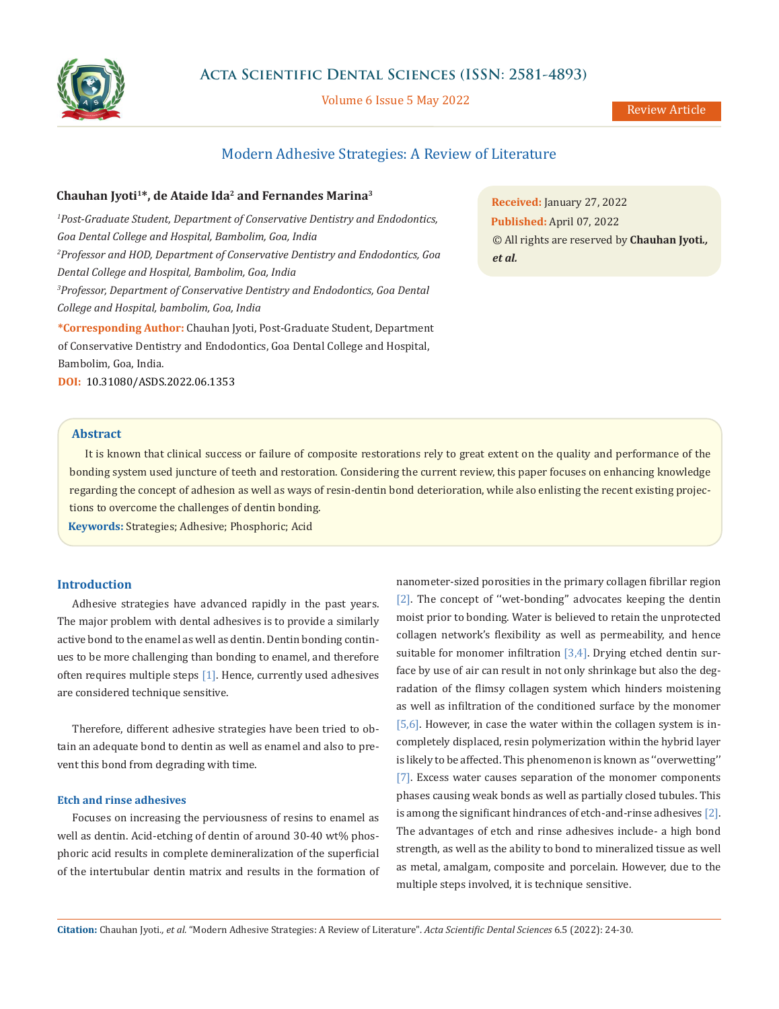

## **Acta Scientific Dental Sciences (ISSN: 2581-4893)**

Volume 6 Issue 5 May 2022

# Modern Adhesive Strategies: A Review of Literature

## **Chauhan Jyoti1\*, de Ataide Ida2 and Fernandes Marina3**

<sup>1</sup> Post-Graduate Student, Department of Conservative Dentistry and Endodontics, *Goa Dental College and Hospital, Bambolim, Goa, India 2 Professor and HOD, Department of Conservative Dentistry and Endodontics, Goa Dental College and Hospital, Bambolim, Goa, India 3 Professor, Department of Conservative Dentistry and Endodontics, Goa Dental College and Hospital, bambolim, Goa, India* **\*Corresponding Author:** Chauhan Jyoti, Post-Graduate Student, Department of Conservative Dentistry and Endodontics, Goa Dental College and Hospital, Bambolim, Goa, India. **DOI:** [10.31080/ASDS.2022.06.1353](https://actascientific.com/ASDS/pdf/ASDS-06-1353.pdf)

**Received:** January 27, 2022 **Published:** April 07, 2022 © All rights are reserved by **Chauhan Jyoti***., et al.*

## **Abstract**

It is known that clinical success or failure of composite restorations rely to great extent on the quality and performance of the bonding system used juncture of teeth and restoration. Considering the current review, this paper focuses on enhancing knowledge regarding the concept of adhesion as well as ways of resin-dentin bond deterioration, while also enlisting the recent existing projections to overcome the challenges of dentin bonding.

**Keywords:** Strategies; Adhesive; Phosphoric; Acid

### **Introduction**

Adhesive strategies have advanced rapidly in the past years. The major problem with dental adhesives is to provide a similarly active bond to the enamel as well as dentin. Dentin bonding continues to be more challenging than bonding to enamel, and therefore often requires multiple steps [1]. Hence, currently used adhesives are considered technique sensitive.

Therefore, different adhesive strategies have been tried to obtain an adequate bond to dentin as well as enamel and also to prevent this bond from degrading with time.

## **Etch and rinse adhesives**

Focuses on increasing the perviousness of resins to enamel as well as dentin. Acid-etching of dentin of around 30-40 wt% phosphoric acid results in complete demineralization of the superficial of the intertubular dentin matrix and results in the formation of nanometer-sized porosities in the primary collagen fibrillar region [2]. The concept of "wet-bonding" advocates keeping the dentin moist prior to bonding. Water is believed to retain the unprotected collagen network's flexibility as well as permeability, and hence suitable for monomer infiltration [3,4]. Drying etched dentin surface by use of air can result in not only shrinkage but also the degradation of the flimsy collagen system which hinders moistening as well as infiltration of the conditioned surface by the monomer [5,6]. However, in case the water within the collagen system is incompletely displaced, resin polymerization within the hybrid layer is likely to be affected. This phenomenon is known as ''overwetting'' [7]. Excess water causes separation of the monomer components phases causing weak bonds as well as partially closed tubules. This is among the significant hindrances of etch-and-rinse adhesives [2]. The advantages of etch and rinse adhesives include- a high bond strength, as well as the ability to bond to mineralized tissue as well as metal, amalgam, composite and porcelain. However, due to the multiple steps involved, it is technique sensitive.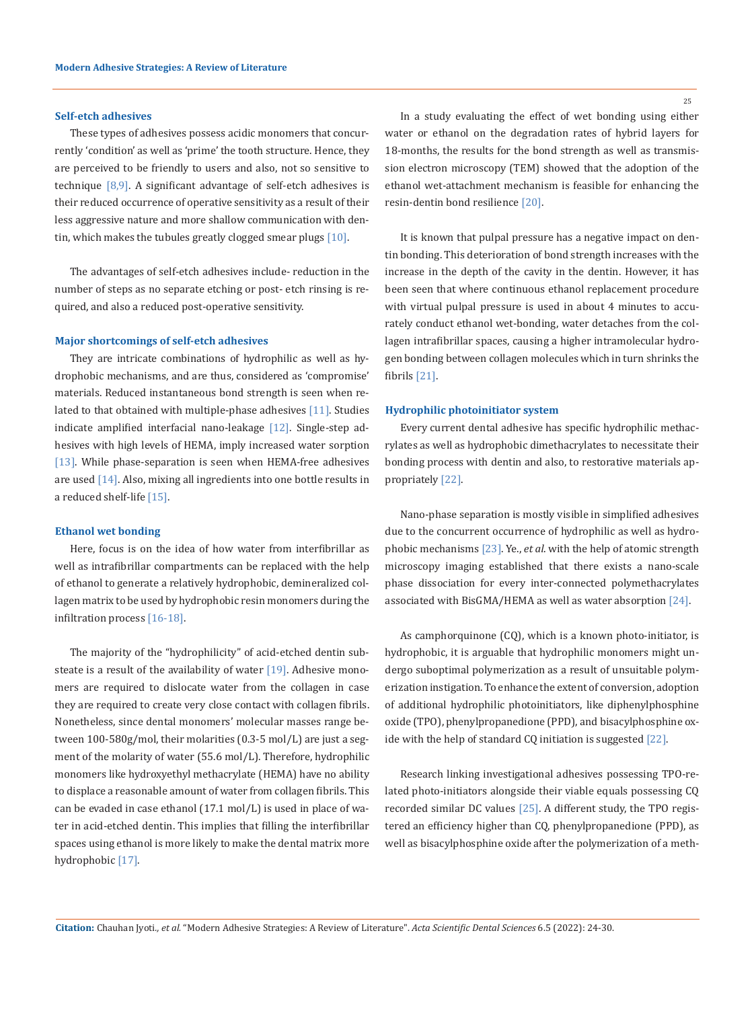### **Self-etch adhesives**

These types of adhesives possess acidic monomers that concurrently 'condition' as well as 'prime' the tooth structure. Hence, they are perceived to be friendly to users and also, not so sensitive to technique [8,9]. A significant advantage of self-etch adhesives is their reduced occurrence of operative sensitivity as a result of their less aggressive nature and more shallow communication with dentin, which makes the tubules greatly clogged smear plugs [10].

The advantages of self-etch adhesives include- reduction in the number of steps as no separate etching or post- etch rinsing is required, and also a reduced post-operative sensitivity.

#### **Major shortcomings of self-etch adhesives**

They are intricate combinations of hydrophilic as well as hydrophobic mechanisms, and are thus, considered as 'compromise' materials. Reduced instantaneous bond strength is seen when related to that obtained with multiple-phase adhesives [11]. Studies indicate amplified interfacial nano-leakage [12]. Single-step adhesives with high levels of HEMA, imply increased water sorption [13]. While phase-separation is seen when HEMA-free adhesives are used [14]. Also, mixing all ingredients into one bottle results in a reduced shelf-life [15].

### **Ethanol wet bonding**

Here, focus is on the idea of how water from interfibrillar as well as intrafibrillar compartments can be replaced with the help of ethanol to generate a relatively hydrophobic, demineralized collagen matrix to be used by hydrophobic resin monomers during the infiltration process [16-18].

The majority of the "hydrophilicity" of acid-etched dentin substeate is a result of the availability of water  $[19]$ . Adhesive monomers are required to dislocate water from the collagen in case they are required to create very close contact with collagen fibrils. Nonetheless, since dental monomers' molecular masses range between 100-580g/mol, their molarities (0.3-5 mol/L) are just a segment of the molarity of water (55.6 mol/L). Therefore, hydrophilic monomers like hydroxyethyl methacrylate (HEMA) have no ability to displace a reasonable amount of water from collagen fibrils. This can be evaded in case ethanol (17.1 mol/L) is used in place of water in acid-etched dentin. This implies that filling the interfibrillar spaces using ethanol is more likely to make the dental matrix more hydrophobic [17].

In a study evaluating the effect of wet bonding using either water or ethanol on the degradation rates of hybrid layers for 18-months, the results for the bond strength as well as transmission electron microscopy (TEM) showed that the adoption of the ethanol wet-attachment mechanism is feasible for enhancing the resin-dentin bond resilience [20].

It is known that pulpal pressure has a negative impact on dentin bonding. This deterioration of bond strength increases with the increase in the depth of the cavity in the dentin. However, it has been seen that where continuous ethanol replacement procedure with virtual pulpal pressure is used in about 4 minutes to accurately conduct ethanol wet-bonding, water detaches from the collagen intrafibrillar spaces, causing a higher intramolecular hydrogen bonding between collagen molecules which in turn shrinks the fibrils [21].

#### **Hydrophilic photoinitiator system**

Every current dental adhesive has specific hydrophilic methacrylates as well as hydrophobic dimethacrylates to necessitate their bonding process with dentin and also, to restorative materials appropriately [22].

Nano-phase separation is mostly visible in simplified adhesives due to the concurrent occurrence of hydrophilic as well as hydrophobic mechanisms [23]. Ye., *et al*. with the help of atomic strength microscopy imaging established that there exists a nano-scale phase dissociation for every inter-connected polymethacrylates associated with BisGMA/HEMA as well as water absorption [24].

As camphorquinone (CQ), which is a known photo-initiator, is hydrophobic, it is arguable that hydrophilic monomers might undergo suboptimal polymerization as a result of unsuitable polymerization instigation. To enhance the extent of conversion, adoption of additional hydrophilic photoinitiators, like diphenylphosphine oxide (TPO), phenylpropanedione (PPD), and bisacylphosphine oxide with the help of standard CQ initiation is suggested [22].

Research linking investigational adhesives possessing TPO-related photo-initiators alongside their viable equals possessing CQ recorded similar DC values [25]. A different study, the TPO registered an efficiency higher than CQ, phenylpropanedione (PPD), as well as bisacylphosphine oxide after the polymerization of a meth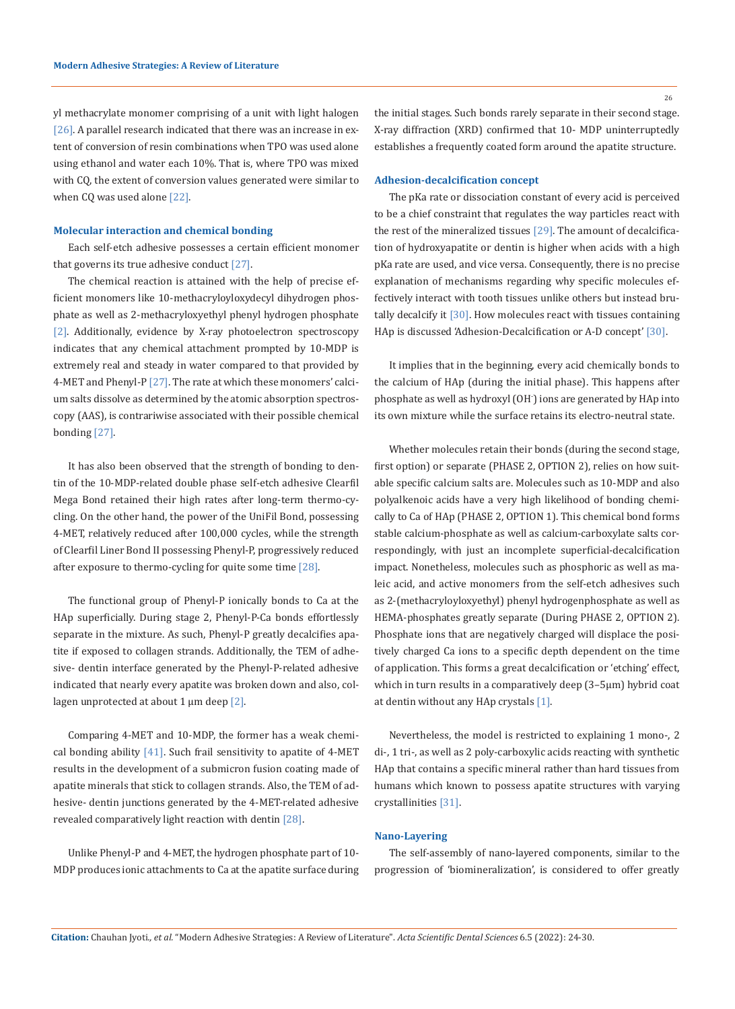yl methacrylate monomer comprising of a unit with light halogen [26]. A parallel research indicated that there was an increase in extent of conversion of resin combinations when TPO was used alone using ethanol and water each 10%. That is, where TPO was mixed with CQ, the extent of conversion values generated were similar to when CQ was used alone [22].

#### **Molecular interaction and chemical bonding**

Each self-etch adhesive possesses a certain efficient monomer that governs its true adhesive conduct [27].

The chemical reaction is attained with the help of precise efficient monomers like 10-methacryloyloxydecyl dihydrogen phosphate as well as 2-methacryloxyethyl phenyl hydrogen phosphate [2]. Additionally, evidence by X-ray photoelectron spectroscopy indicates that any chemical attachment prompted by 10-MDP is extremely real and steady in water compared to that provided by 4-MET and Phenyl-P [27]. The rate at which these monomers' calcium salts dissolve as determined by the atomic absorption spectroscopy (AAS), is contrariwise associated with their possible chemical bonding [27].

It has also been observed that the strength of bonding to dentin of the 10-MDP-related double phase self-etch adhesive Clearfil Mega Bond retained their high rates after long-term thermo-cycling. On the other hand, the power of the UniFil Bond, possessing 4-MET, relatively reduced after 100,000 cycles, while the strength of Clearfil Liner Bond II possessing Phenyl-P, progressively reduced after exposure to thermo-cycling for quite some time [28].

The functional group of Phenyl-P ionically bonds to Ca at the HAp superficially. During stage 2, Phenyl-P-Ca bonds effortlessly separate in the mixture. As such, Phenyl-P greatly decalcifies apatite if exposed to collagen strands. Additionally, the TEM of adhesive- dentin interface generated by the Phenyl-P-related adhesive indicated that nearly every apatite was broken down and also, collagen unprotected at about  $1 \mu m$  deep  $[2]$ .

Comparing 4-MET and 10-MDP, the former has a weak chemical bonding ability  $[41]$ . Such frail sensitivity to apatite of 4-MET results in the development of a submicron fusion coating made of apatite minerals that stick to collagen strands. Also, the TEM of adhesive- dentin junctions generated by the 4-MET-related adhesive revealed comparatively light reaction with dentin [28].

Unlike Phenyl-P and 4-MET, the hydrogen phosphate part of 10- MDP produces ionic attachments to Ca at the apatite surface during the initial stages. Such bonds rarely separate in their second stage. X-ray diffraction (XRD) confirmed that 10- MDP uninterruptedly establishes a frequently coated form around the apatite structure.

#### **Adhesion-decalcification concept**

The pKa rate or dissociation constant of every acid is perceived to be a chief constraint that regulates the way particles react with the rest of the mineralized tissues [29]. The amount of decalcification of hydroxyapatite or dentin is higher when acids with a high pKa rate are used, and vice versa. Consequently, there is no precise explanation of mechanisms regarding why specific molecules effectively interact with tooth tissues unlike others but instead brutally decalcify it [30]. How molecules react with tissues containing HAp is discussed 'Adhesion-Decalcification or A-D concept' [30].

It implies that in the beginning, every acid chemically bonds to the calcium of HAp (during the initial phase). This happens after phosphate as well as hydroxyl (OH- ) ions are generated by HAp into its own mixture while the surface retains its electro-neutral state.

Whether molecules retain their bonds (during the second stage, first option) or separate (PHASE 2, OPTION 2), relies on how suitable specific calcium salts are. Molecules such as 10-MDP and also polyalkenoic acids have a very high likelihood of bonding chemically to Ca of HAp (PHASE 2, OPTION 1). This chemical bond forms stable calcium-phosphate as well as calcium-carboxylate salts correspondingly, with just an incomplete superficial-decalcification impact. Nonetheless, molecules such as phosphoric as well as maleic acid, and active monomers from the self-etch adhesives such as 2-(methacryloyloxyethyl) phenyl hydrogenphosphate as well as HEMA-phosphates greatly separate (During PHASE 2, OPTION 2). Phosphate ions that are negatively charged will displace the positively charged Ca ions to a specific depth dependent on the time of application. This forms a great decalcification or 'etching' effect, which in turn results in a comparatively deep (3–5µm) hybrid coat at dentin without any HAp crystals [1].

Nevertheless, the model is restricted to explaining 1 mono-, 2 di-, 1 tri-, as well as 2 poly-carboxylic acids reacting with synthetic HAp that contains a specific mineral rather than hard tissues from humans which known to possess apatite structures with varying crystallinities [31].

#### **Nano-Layering**

The self-assembly of nano-layered components, similar to the progression of 'biomineralization', is considered to offer greatly

26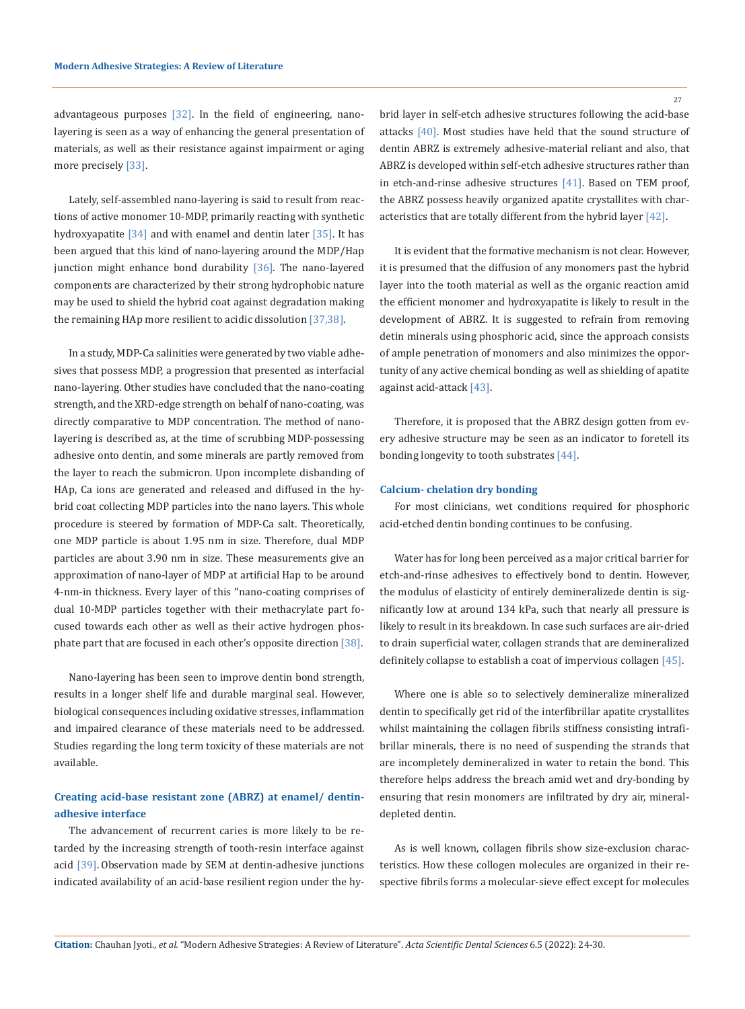advantageous purposes [32]. In the field of engineering, nanolayering is seen as a way of enhancing the general presentation of materials, as well as their resistance against impairment or aging more precisely [33].

Lately, self-assembled nano-layering is said to result from reactions of active monomer 10-MDP, primarily reacting with synthetic hydroxyapatite  $[34]$  and with enamel and dentin later  $[35]$ . It has been argued that this kind of nano-layering around the MDP/Hap junction might enhance bond durability [36]. The nano-layered components are characterized by their strong hydrophobic nature may be used to shield the hybrid coat against degradation making the remaining HAp more resilient to acidic dissolution [37,38].

In a study, MDP-Ca salinities were generated by two viable adhesives that possess MDP, a progression that presented as interfacial nano-layering. Other studies have concluded that the nano-coating strength, and the XRD-edge strength on behalf of nano-coating, was directly comparative to MDP concentration. The method of nanolayering is described as, at the time of scrubbing MDP-possessing adhesive onto dentin, and some minerals are partly removed from the layer to reach the submicron. Upon incomplete disbanding of HAp, Ca ions are generated and released and diffused in the hybrid coat collecting MDP particles into the nano layers. This whole procedure is steered by formation of MDP-Ca salt. Theoretically, one MDP particle is about 1.95 nm in size. Therefore, dual MDP particles are about 3.90 nm in size. These measurements give an approximation of nano-layer of MDP at artificial Hap to be around 4-nm-in thickness. Every layer of this ''nano-coating comprises of dual 10-MDP particles together with their methacrylate part focused towards each other as well as their active hydrogen phosphate part that are focused in each other's opposite direction [38].

Nano-layering has been seen to improve dentin bond strength, results in a longer shelf life and durable marginal seal. However, biological consequences including oxidative stresses, inflammation and impaired clearance of these materials need to be addressed. Studies regarding the long term toxicity of these materials are not available.

## **Creating acid-base resistant zone (ABRZ) at enamel/ dentinadhesive interface**

The advancement of recurrent caries is more likely to be retarded by the increasing strength of tooth-resin interface against acid [39]. Observation made by SEM at dentin-adhesive junctions indicated availability of an acid-base resilient region under the hybrid layer in self-etch adhesive structures following the acid-base attacks [40]. Most studies have held that the sound structure of dentin ABRZ is extremely adhesive-material reliant and also, that ABRZ is developed within self-etch adhesive structures rather than in etch-and-rinse adhesive structures [41]. Based on TEM proof, the ABRZ possess heavily organized apatite crystallites with characteristics that are totally different from the hybrid layer [42].

It is evident that the formative mechanism is not clear. However, it is presumed that the diffusion of any monomers past the hybrid layer into the tooth material as well as the organic reaction amid the efficient monomer and hydroxyapatite is likely to result in the development of ABRZ. It is suggested to refrain from removing detin minerals using phosphoric acid, since the approach consists of ample penetration of monomers and also minimizes the opportunity of any active chemical bonding as well as shielding of apatite against acid-attack [43].

Therefore, it is proposed that the ABRZ design gotten from every adhesive structure may be seen as an indicator to foretell its bonding longevity to tooth substrates [44].

### **Calcium- chelation dry bonding**

For most clinicians, wet conditions required for phosphoric acid-etched dentin bonding continues to be confusing.

Water has for long been perceived as a major critical barrier for etch-and-rinse adhesives to effectively bond to dentin. However, the modulus of elasticity of entirely demineralizede dentin is significantly low at around 134 kPa, such that nearly all pressure is likely to result in its breakdown. In case such surfaces are air-dried to drain superficial water, collagen strands that are demineralized definitely collapse to establish a coat of impervious collagen [45].

Where one is able so to selectively demineralize mineralized dentin to specifically get rid of the interfibrillar apatite crystallites whilst maintaining the collagen fibrils stiffness consisting intrafibrillar minerals, there is no need of suspending the strands that are incompletely demineralized in water to retain the bond. This therefore helps address the breach amid wet and dry-bonding by ensuring that resin monomers are infiltrated by dry air, mineraldepleted dentin.

As is well known, collagen fibrils show size-exclusion characteristics. How these collogen molecules are organized in their respective fibrils forms a molecular-sieve effect except for molecules

27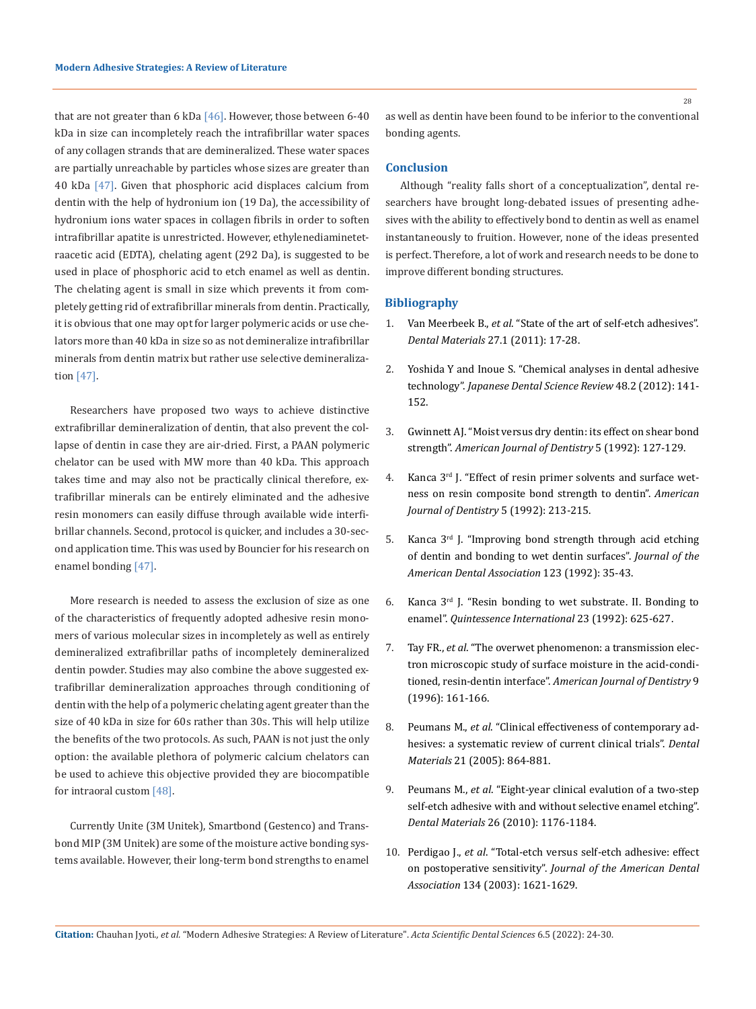that are not greater than 6 kDa  $[46]$ . However, those between 6-40 kDa in size can incompletely reach the intrafibrillar water spaces of any collagen strands that are demineralized. These water spaces are partially unreachable by particles whose sizes are greater than 40 kDa [47]. Given that phosphoric acid displaces calcium from dentin with the help of hydronium ion (19 Da), the accessibility of hydronium ions water spaces in collagen fibrils in order to soften intrafibrillar apatite is unrestricted. However, ethylenediaminetetraacetic acid (EDTA), chelating agent (292 Da), is suggested to be used in place of phosphoric acid to etch enamel as well as dentin. The chelating agent is small in size which prevents it from completely getting rid of extrafibrillar minerals from dentin. Practically, it is obvious that one may opt for larger polymeric acids or use chelators more than 40 kDa in size so as not demineralize intrafibrillar minerals from dentin matrix but rather use selective demineralization [47].

Researchers have proposed two ways to achieve distinctive extrafibrillar demineralization of dentin, that also prevent the collapse of dentin in case they are air-dried. First, a PAAN polymeric chelator can be used with MW more than 40 kDa. This approach takes time and may also not be practically clinical therefore, extrafibrillar minerals can be entirely eliminated and the adhesive resin monomers can easily diffuse through available wide interfibrillar channels. Second, protocol is quicker, and includes a 30-second application time. This was used by Bouncier for his research on enamel bonding [47].

More research is needed to assess the exclusion of size as one of the characteristics of frequently adopted adhesive resin monomers of various molecular sizes in incompletely as well as entirely demineralized extrafibrillar paths of incompletely demineralized dentin powder. Studies may also combine the above suggested extrafibrillar demineralization approaches through conditioning of dentin with the help of a polymeric chelating agent greater than the size of 40 kDa in size for 60s rather than 30s. This will help utilize the benefits of the two protocols. As such, PAAN is not just the only option: the available plethora of polymeric calcium chelators can be used to achieve this objective provided they are biocompatible for intraoral custom [48].

Currently Unite (3M Unitek), Smartbond (Gestenco) and Transbond MIP (3M Unitek) are some of the moisture active bonding systems available. However, their long-term bond strengths to enamel

28

as well as dentin have been found to be inferior to the conventional bonding agents.

### **Conclusion**

Although "reality falls short of a conceptualization", dental researchers have brought long-debated issues of presenting adhesives with the ability to effectively bond to dentin as well as enamel instantaneously to fruition. However, none of the ideas presented is perfect. Therefore, a lot of work and research needs to be done to improve different bonding structures.

## **Bibliography**

- 1. Van Meerbeek B., *et al*[. "State of the art of self-etch adhesives".](https://pubmed.ncbi.nlm.nih.gov/21109301/)  *Dental Materials* [27.1 \(2011\): 17-28.](https://pubmed.ncbi.nlm.nih.gov/21109301/)
- 2. [Yoshida Y and Inoue S. "Chemical analyses in dental adhesive](https://www.sciencedirect.com/science/article/pii/S1882761612000269)  technology". *[Japanese Dental Science](https://www.sciencedirect.com/science/article/pii/S1882761612000269) Review* 48.2 (2012): 141- [152.](https://www.sciencedirect.com/science/article/pii/S1882761612000269)
- 3. [Gwinnett AJ. "Moist versus dry dentin: its effect on shear bond](https://pubmed.ncbi.nlm.nih.gov/1388947/)  strength". *[American Journal of Dentistry](https://pubmed.ncbi.nlm.nih.gov/1388947/)* 5 (1992): 127-129.
- 4. [Kanca 3rd J. "Effect of resin primer solvents and surface wet](https://pubmed.ncbi.nlm.nih.gov/1290612/)[ness on resin composite bond strength to dentin".](https://pubmed.ncbi.nlm.nih.gov/1290612/) *American [Journal of Dentistry](https://pubmed.ncbi.nlm.nih.gov/1290612/)* 5 (1992): 213-215.
- 5. [Kanca 3rd J. "Improving bond strength through acid etching](https://pubmed.ncbi.nlm.nih.gov/1517516/)  [of dentin and bonding to wet dentin surfaces".](https://pubmed.ncbi.nlm.nih.gov/1517516/) *Journal of the [American Dental Association](https://pubmed.ncbi.nlm.nih.gov/1517516/)* 123 (1992): 35-43.
- 6. [Kanca 3rd J. "Resin bonding to wet substrate. II. Bonding to](https://pubmed.ncbi.nlm.nih.gov/1287714/)  enamel". *[Quintessence International](https://pubmed.ncbi.nlm.nih.gov/1287714/)* 23 (1992): 625-627.
- 7. Tay FR., *et al*[. "The overwet phenomenon: a transmission elec](https://pubmed.ncbi.nlm.nih.gov/9002792/)[tron microscopic study of surface moisture in the acid-condi](https://pubmed.ncbi.nlm.nih.gov/9002792/)tioned, resin-dentin interface". *[American Journal of Dentistry](https://pubmed.ncbi.nlm.nih.gov/9002792/)* 9 [\(1996\): 161-166.](https://pubmed.ncbi.nlm.nih.gov/9002792/)
- 8. Peumans M., *et al*[. "Clinical effectiveness of contemporary ad](https://pubmed.ncbi.nlm.nih.gov/16009415/)[hesives: a systematic review of current clinical trials".](https://pubmed.ncbi.nlm.nih.gov/16009415/) *Dental Materials* [21 \(2005\): 864-881.](https://pubmed.ncbi.nlm.nih.gov/16009415/)
- 9. Peumans M., *et al*[. "Eight-year clinical evalution of a two-step](https://pubmed.ncbi.nlm.nih.gov/20947155/)  [self-etch adhesive with and without selective enamel etching".](https://pubmed.ncbi.nlm.nih.gov/20947155/)  *Dental Materials* [26 \(2010\): 1176-1184.](https://pubmed.ncbi.nlm.nih.gov/20947155/)
- 10. Perdigao J., *et al*[. "Total-etch versus self-etch adhesive: effect](https://pubmed.ncbi.nlm.nih.gov/14719760/)  on postoperative sensitivity". *[Journal of the American Dental](https://pubmed.ncbi.nlm.nih.gov/14719760/)  Association* [134 \(2003\): 1621-1629.](https://pubmed.ncbi.nlm.nih.gov/14719760/)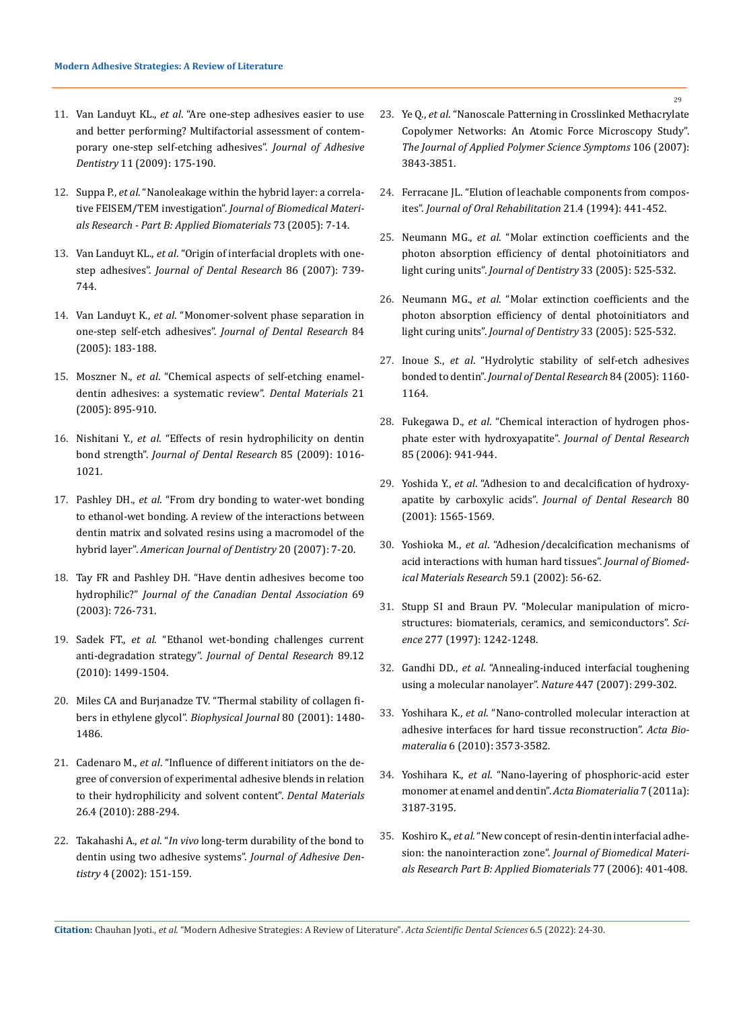- 11. Van Landuyt KL., *et al*[. "Are one-step adhesives easier to use](https://pubmed.ncbi.nlm.nih.gov/19603581/)  [and better performing? Multifactorial assessment of contem](https://pubmed.ncbi.nlm.nih.gov/19603581/)[porary one-step self-etching adhesives".](https://pubmed.ncbi.nlm.nih.gov/19603581/) *Journal of Adhesive Dentistry* [11 \(2009\): 175-190.](https://pubmed.ncbi.nlm.nih.gov/19603581/)
- 12. Suppa P., *et al*[. "Nanoleakage within the hybrid layer: a correla](https://pubmed.ncbi.nlm.nih.gov/15678495/)tive FEISEM/TEM investigation". *[Journal of Biomedical Materi](https://pubmed.ncbi.nlm.nih.gov/15678495/)[als Research - Part B: Applied Biomaterials](https://pubmed.ncbi.nlm.nih.gov/15678495/)* 73 (2005): 7-14.
- 13. Van Landuyt KL., *et al*[. "Origin of interfacial droplets with one](https://pubmed.ncbi.nlm.nih.gov/17652202/)step adhesives". *[Journal of Dental Research](https://pubmed.ncbi.nlm.nih.gov/17652202/)* 86 (2007): 739- [744.](https://pubmed.ncbi.nlm.nih.gov/17652202/)
- 14. Van Landuyt K., *et al*[. "Monomer-solvent phase separation in](https://pubmed.ncbi.nlm.nih.gov/15668338/)  one-step self-etch adhesives". *[Journal of Dental Research](https://pubmed.ncbi.nlm.nih.gov/15668338/)* 84 [\(2005\): 183-188.](https://pubmed.ncbi.nlm.nih.gov/15668338/)
- 15. Moszner N., *et al*[. "Chemical aspects of self-etching enamel](https://pubmed.ncbi.nlm.nih.gov/16038969/)[dentin adhesives: a systematic review".](https://pubmed.ncbi.nlm.nih.gov/16038969/) *Dental Materials* 21 [\(2005\): 895-910.](https://pubmed.ncbi.nlm.nih.gov/16038969/)
- 16. Nishitani Y., *et al*[. "Effects of resin hydrophilicity on dentin](https://pubmed.ncbi.nlm.nih.gov/17062742/)  bond strength". *[Journal of Dental Research](https://pubmed.ncbi.nlm.nih.gov/17062742/)* 85 (2009): 1016- [1021.](https://pubmed.ncbi.nlm.nih.gov/17062742/)
- 17. Pashley DH., *et al*[. "From dry bonding to water-wet bonding](https://pubmed.ncbi.nlm.nih.gov/17380802/)  [to ethanol-wet bonding. A review of the interactions between](https://pubmed.ncbi.nlm.nih.gov/17380802/)  [dentin matrix and solvated resins using a macromodel of the](https://pubmed.ncbi.nlm.nih.gov/17380802/)  hybrid layer". *[American Journal of Dentistry](https://pubmed.ncbi.nlm.nih.gov/17380802/)* 20 (2007): 7-20.
- 18. [Tay FR and Pashley DH. "Have dentin adhesives become too](https://pubmed.ncbi.nlm.nih.gov/14653938/)  hydrophilic?" *[Journal of the Canadian Dental Association](https://pubmed.ncbi.nlm.nih.gov/14653938/)* 69 [\(2003\): 726-731.](https://pubmed.ncbi.nlm.nih.gov/14653938/)
- 19. Sadek FT., *et al*[. "Ethanol wet-bonding challenges current](https://pubmed.ncbi.nlm.nih.gov/20940353/)  anti-degradation strategy". *[Journal of Dental Research](https://pubmed.ncbi.nlm.nih.gov/20940353/)* 89.12 [\(2010\): 1499-1504.](https://pubmed.ncbi.nlm.nih.gov/20940353/)
- 20. [Miles CA and Burjanadze TV. "Thermal stability of collagen fi](https://www.sciencedirect.com/science/article/pii/S0006349501761206)bers in ethylene glycol". *[Biophysical Journal](https://www.sciencedirect.com/science/article/pii/S0006349501761206)* 80 (2001): 1480- [1486.](https://www.sciencedirect.com/science/article/pii/S0006349501761206)
- 21. Cadenaro M., *et al*[. "Influence of different initiators on the de](https://pubmed.ncbi.nlm.nih.gov/20018363/)[gree of conversion of experimental adhesive blends in relation](https://pubmed.ncbi.nlm.nih.gov/20018363/)  [to their hydrophilicity and solvent content".](https://pubmed.ncbi.nlm.nih.gov/20018363/) *Dental Materials* [26.4 \(2010\): 288-294.](https://pubmed.ncbi.nlm.nih.gov/20018363/)
- 22. Takahashi A., *et al*. "*In vivo* [long-term durability of the bond to](https://pubmed.ncbi.nlm.nih.gov/12236644/)  [dentin using two adhesive systems".](https://pubmed.ncbi.nlm.nih.gov/12236644/) *Journal of Adhesive Dentistry* [4 \(2002\): 151-159.](https://pubmed.ncbi.nlm.nih.gov/12236644/)
- 23. Ye Q., *et al*[. "Nanoscale Patterning in Crosslinked Methacrylate](https://www.ncbi.nlm.nih.gov/pmc/articles/PMC2600546/)  [Copolymer Networks: An Atomic Force Microscopy Study".](https://www.ncbi.nlm.nih.gov/pmc/articles/PMC2600546/)  *[The Journal of Applied Polymer Science Symptoms](https://www.ncbi.nlm.nih.gov/pmc/articles/PMC2600546/)* 106 (2007): [3843-3851.](https://www.ncbi.nlm.nih.gov/pmc/articles/PMC2600546/)
- 24. [Ferracane JL. "Elution of leachable components from compos](https://pubmed.ncbi.nlm.nih.gov/7965355/)ites". *[Journal of Oral Rehabilitation](https://pubmed.ncbi.nlm.nih.gov/7965355/)* 21.4 (1994): 441-452.
- 25. Neumann MG., *et al*[. "Molar extinction coefficients and the](https://www.sciencedirect.com/science/article/abs/pii/S0300571205000072)  [photon absorption efficiency of dental photoinitiators and](https://www.sciencedirect.com/science/article/abs/pii/S0300571205000072)  light curing units". *[Journal of Dentistry](https://www.sciencedirect.com/science/article/abs/pii/S0300571205000072)* 33 (2005): 525-532.
- 26. Neumann MG., *et al*[. "Molar extinction coefficients and the](https://www.sciencedirect.com/science/article/abs/pii/S0300571205000072)  [photon absorption efficiency of dental photoinitiators and](https://www.sciencedirect.com/science/article/abs/pii/S0300571205000072)  light curing units". *[Journal of Dentistry](https://www.sciencedirect.com/science/article/abs/pii/S0300571205000072)* 33 (2005): 525-532.
- 27. Inoue S., *et al*[. "Hydrolytic stability of self-etch adhesives](https://pubmed.ncbi.nlm.nih.gov/16304447/)  bonded to dentin". *[Journal of Dental Research](https://pubmed.ncbi.nlm.nih.gov/16304447/)* 84 (2005): 1160- [1164.](https://pubmed.ncbi.nlm.nih.gov/16304447/)
- 28. Fukegawa D., *et al*[. "Chemical interaction of hydrogen phos](https://pubmed.ncbi.nlm.nih.gov/16998137/)[phate ester with hydroxyapatite".](https://pubmed.ncbi.nlm.nih.gov/16998137/) *Journal of Dental Research* [85 \(2006\): 941-944.](https://pubmed.ncbi.nlm.nih.gov/16998137/)
- 29. Yoshida Y., *et al*[. "Adhesion to and decalcification of hydroxy](https://pubmed.ncbi.nlm.nih.gov/11499514/)apatite by carboxylic acids". *[Journal of Dental Research](https://pubmed.ncbi.nlm.nih.gov/11499514/)* 80 [\(2001\): 1565-1569.](https://pubmed.ncbi.nlm.nih.gov/11499514/)
- 30. Yoshioka M., *et al*[. "Adhesion/decalcification mechanisms of](https://pubmed.ncbi.nlm.nih.gov/11745537/)  [acid interactions with human hard tissues".](https://pubmed.ncbi.nlm.nih.gov/11745537/) *Journal of Biomed[ical Materials Research](https://pubmed.ncbi.nlm.nih.gov/11745537/)* 59.1 (2002): 56-62.
- 31. [Stupp SI and Braun PV. "Molecular manipulation of micro](https://pubmed.ncbi.nlm.nih.gov/9271562/)[structures: biomaterials, ceramics, and semiconductors".](https://pubmed.ncbi.nlm.nih.gov/9271562/) *Science* [277 \(1997\): 1242-1248.](https://pubmed.ncbi.nlm.nih.gov/9271562/)
- 32. Gandhi DD., *et al*[. "Annealing-induced interfacial toughening](https://www.nature.com/articles/nature05826)  [using a molecular nanolayer".](https://www.nature.com/articles/nature05826) *Nature* 447 (2007): 299-302.
- 33. Yoshihara K., *et al*[. "Nano-controlled molecular interaction at](https://pubmed.ncbi.nlm.nih.gov/20346420/)  [adhesive interfaces for hard tissue reconstruction".](https://pubmed.ncbi.nlm.nih.gov/20346420/) *Acta Biomateralia* [6 \(2010\): 3573-3582.](https://pubmed.ncbi.nlm.nih.gov/20346420/)
- 34. Yoshihara K., *et al*[. "Nano-layering of phosphoric-acid ester](https://pubmed.ncbi.nlm.nih.gov/21575747/)  [monomer at enamel and dentin".](https://pubmed.ncbi.nlm.nih.gov/21575747/) *Acta Biomaterialia* 7 (2011a): [3187-3195.](https://pubmed.ncbi.nlm.nih.gov/21575747/)
- 35. Koshiro K., *et al*[. "New concept of resin-dentin interfacial adhe](https://pubmed.ncbi.nlm.nih.gov/16506170/)sion: the nanointeraction zone". *[Journal of Biomedical Materi](https://pubmed.ncbi.nlm.nih.gov/16506170/)[als Research Part B: Applied Biomaterials](https://pubmed.ncbi.nlm.nih.gov/16506170/)* 77 (2006): 401-408.

**Citation:** Chauhan Jyoti*., et al.* "Modern Adhesive Strategies: A Review of Literature". *Acta Scientific Dental Sciences* 6.5 (2022): 24-30.

29